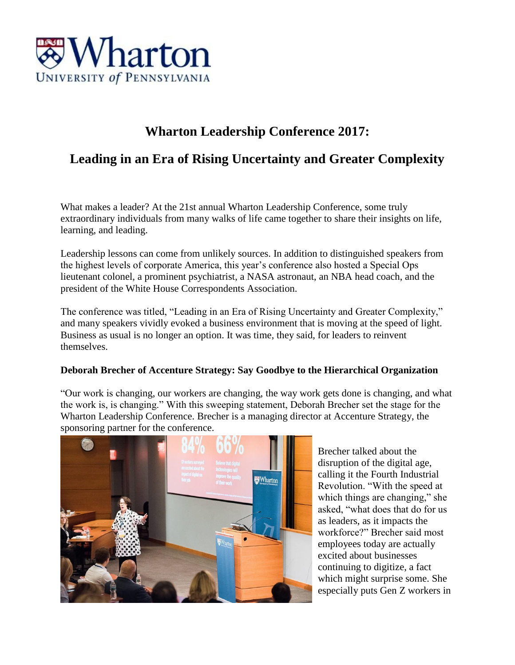

# **Wharton Leadership Conference 2017:**

## **Leading in an Era of Rising Uncertainty and Greater Complexity**

What makes a leader? At the 21st annual Wharton Leadership Conference, some truly extraordinary individuals from many walks of life came together to share their insights on life, learning, and leading.

Leadership lessons can come from unlikely sources. In addition to distinguished speakers from the highest levels of corporate America, this year's conference also hosted a Special Ops lieutenant colonel, a prominent psychiatrist, a NASA astronaut, an NBA head coach, and the president of the White House Correspondents Association.

The conference was titled, "Leading in an Era of Rising Uncertainty and Greater Complexity," and many speakers vividly evoked a business environment that is moving at the speed of light. Business as usual is no longer an option. It was time, they said, for leaders to reinvent themselves.

#### **Deborah Brecher of Accenture Strategy: Say Goodbye to the Hierarchical Organization**

"Our work is changing, our workers are changing, the way work gets done is changing, and what the work is, is changing." With this sweeping statement, Deborah Brecher set the stage for the Wharton Leadership Conference. Brecher is a managing director at Accenture Strategy, the sponsoring partner for the conference.



Brecher talked about the disruption of the digital age, calling it the Fourth Industrial Revolution. "With the speed at which things are changing," she asked, "what does that do for us as leaders, as it impacts the workforce?" Brecher said most employees today are actually excited about businesses continuing to digitize, a fact which might surprise some. She especially puts Gen Z workers in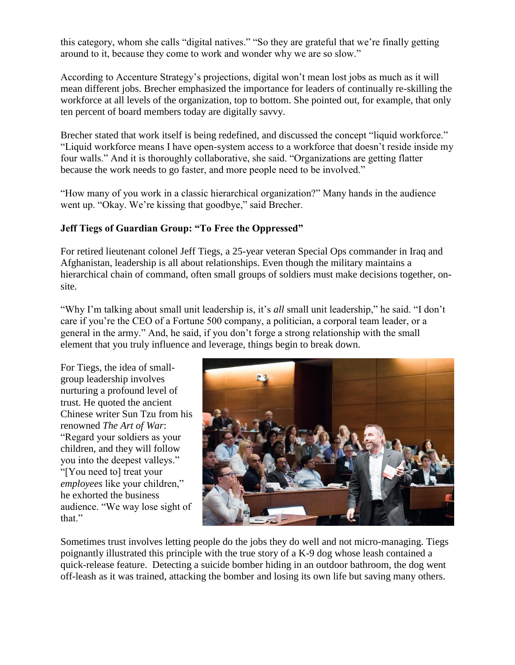this category, whom she calls "digital natives." "So they are grateful that we're finally getting around to it, because they come to work and wonder why we are so slow."

According to Accenture Strategy's projections, digital won't mean lost jobs as much as it will mean different jobs. Brecher emphasized the importance for leaders of continually re-skilling the workforce at all levels of the organization, top to bottom. She pointed out, for example, that only ten percent of board members today are digitally savvy.

Brecher stated that work itself is being redefined, and discussed the concept "liquid workforce." "Liquid workforce means I have open-system access to a workforce that doesn't reside inside my four walls." And it is thoroughly collaborative, she said. "Organizations are getting flatter because the work needs to go faster, and more people need to be involved."

"How many of you work in a classic hierarchical organization?" Many hands in the audience went up. "Okay. We're kissing that goodbye," said Brecher.

## **Jeff Tiegs of Guardian Group: "To Free the Oppressed"**

For retired lieutenant colonel Jeff Tiegs, a 25-year veteran Special Ops commander in Iraq and Afghanistan, leadership is all about relationships. Even though the military maintains a hierarchical chain of command, often small groups of soldiers must make decisions together, onsite.

"Why I'm talking about small unit leadership is, it's *all* small unit leadership," he said. "I don't care if you're the CEO of a Fortune 500 company, a politician, a corporal team leader, or a general in the army." And, he said, if you don't forge a strong relationship with the small element that you truly influence and leverage, things begin to break down.

For Tiegs, the idea of smallgroup leadership involves nurturing a profound level of trust. He quoted the ancient Chinese writer Sun Tzu from his renowned *The Art of War*: "Regard your soldiers as your children, and they will follow you into the deepest valleys." "[You need to] treat your *employees* like your children," he exhorted the business audience. "We way lose sight of that."



Sometimes trust involves letting people do the jobs they do well and not micro-managing. Tiegs poignantly illustrated this principle with the true story of a K-9 dog whose leash contained a quick-release feature. Detecting a suicide bomber hiding in an outdoor bathroom, the dog went off-leash as it was trained, attacking the bomber and losing its own life but saving many others.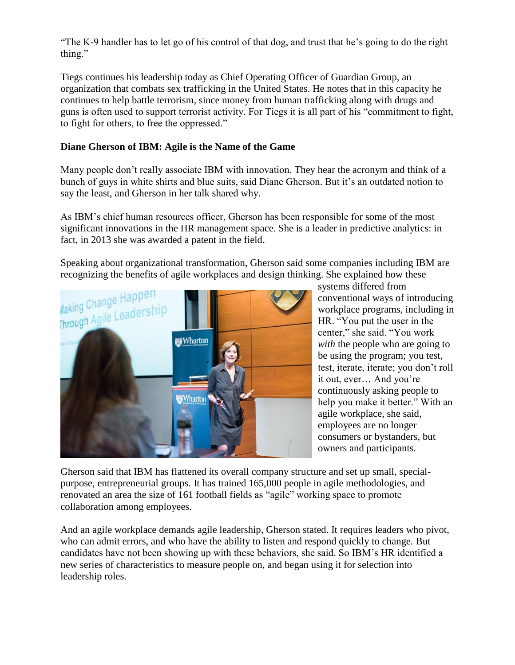"The K-9 handler has to let go of his control of that dog, and trust that he's going to do the right thing."

Tiegs continues his leadership today as Chief Operating Officer of Guardian Group, an organization that combats sex trafficking in the United States. He notes that in this capacity he continues to help battle terrorism, since money from human trafficking along with drugs and guns is often used to support terrorist activity. For Tiegs it is all part of his "commitment to fight, to fight for others, to free the oppressed."

#### **Diane Gherson of IBM: Agile is the Name of the Game**

Many people don't really associate IBM with innovation. They hear the acronym and think of a bunch of guys in white shirts and blue suits, said Diane Gherson. But it's an outdated notion to say the least, and Gherson in her talk shared why.

As IBM's chief human resources officer, Gherson has been responsible for some of the most significant innovations in the HR management space. She is a leader in predictive analytics: in fact, in 2013 she was awarded a patent in the field.

Speaking about organizational transformation, Gherson said some companies including IBM are recognizing the benefits of agile workplaces and design thinking. She explained how these



systems differed from conventional ways of introducing workplace programs, including in HR. "You put the user in the center," she said. "You work *with* the people who are going to be using the program; you test, test, iterate, iterate; you don't roll it out, ever… And you're continuously asking people to help you make it better." With an agile workplace, she said, employees are no longer consumers or bystanders, but owners and participants.

Gherson said that IBM has flattened its overall company structure and set up small, specialpurpose, entrepreneurial groups. It has trained 165,000 people in agile methodologies, and renovated an area the size of 161 football fields as "agile" working space to promote collaboration among employees.

And an agile workplace demands agile leadership, Gherson stated. It requires leaders who pivot, who can admit errors, and who have the ability to listen and respond quickly to change. But candidates have not been showing up with these behaviors, she said. So IBM's HR identified a new series of characteristics to measure people on, and began using it for selection into leadership roles.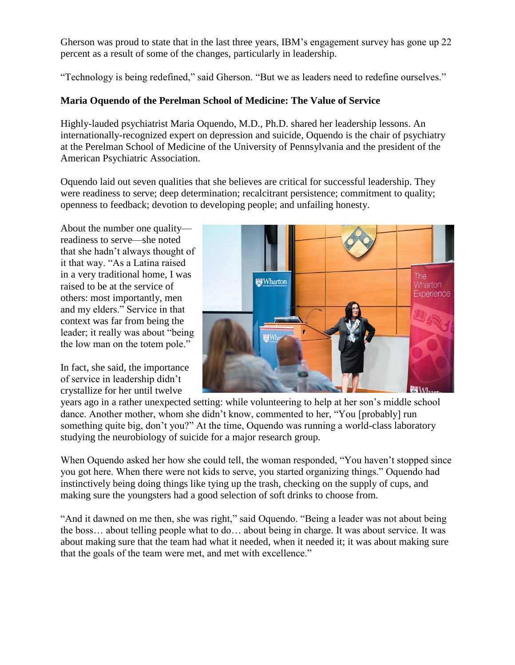Gherson was proud to state that in the last three years, IBM's engagement survey has gone up 22 percent as a result of some of the changes, particularly in leadership.

"Technology is being redefined," said Gherson. "But we as leaders need to redefine ourselves."

## **Maria Oquendo of the Perelman School of Medicine: The Value of Service**

Highly-lauded psychiatrist Maria Oquendo, M.D., Ph.D. shared her leadership lessons. An internationally-recognized expert on depression and suicide, Oquendo is the chair of psychiatry at the Perelman School of Medicine of the University of Pennsylvania and the president of the American Psychiatric Association.

Oquendo laid out seven qualities that she believes are critical for successful leadership. They were readiness to serve; deep determination; recalcitrant persistence; commitment to quality; openness to feedback; devotion to developing people; and unfailing honesty.

About the number one quality readiness to serve—she noted that she hadn't always thought of it that way. "As a Latina raised in a very traditional home, I was raised to be at the service of others: most importantly, men and my elders." Service in that context was far from being the leader; it really was about "being the low man on the totem pole."

In fact, she said, the importance of service in leadership didn't crystallize for her until twelve



years ago in a rather unexpected setting: while volunteering to help at her son's middle school dance. Another mother, whom she didn't know, commented to her, "You [probably] run something quite big, don't you?" At the time, Oquendo was running a world-class laboratory studying the neurobiology of suicide for a major research group.

When Oquendo asked her how she could tell, the woman responded, "You haven't stopped since you got here. When there were not kids to serve, you started organizing things." Oquendo had instinctively being doing things like tying up the trash, checking on the supply of cups, and making sure the youngsters had a good selection of soft drinks to choose from.

"And it dawned on me then, she was right," said Oquendo. "Being a leader was not about being the boss… about telling people what to do… about being in charge. It was about service. It was about making sure that the team had what it needed, when it needed it; it was about making sure that the goals of the team were met, and met with excellence."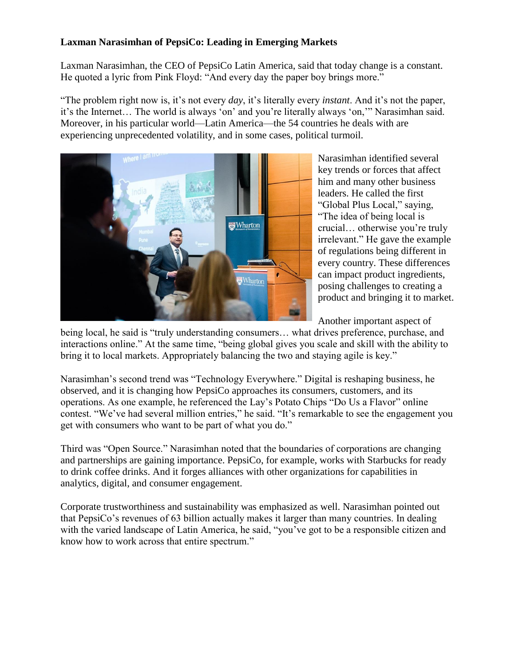## **Laxman Narasimhan of PepsiCo: Leading in Emerging Markets**

Laxman Narasimhan, the CEO of PepsiCo Latin America, said that today change is a constant. He quoted a lyric from Pink Floyd: "And every day the paper boy brings more."

"The problem right now is, it's not every *day*, it's literally every *instant*. And it's not the paper, it's the Internet… The world is always 'on' and you're literally always 'on,'" Narasimhan said. Moreover, in his particular world—Latin America—the 54 countries he deals with are experiencing unprecedented volatility, and in some cases, political turmoil.



Narasimhan identified several key trends or forces that affect him and many other business leaders. He called the first "Global Plus Local," saying, "The idea of being local is crucial… otherwise you're truly irrelevant." He gave the example of regulations being different in every country. These differences can impact product ingredients, posing challenges to creating a product and bringing it to market.

Another important aspect of

being local, he said is "truly understanding consumers… what drives preference, purchase, and interactions online." At the same time, "being global gives you scale and skill with the ability to bring it to local markets. Appropriately balancing the two and staying agile is key."

Narasimhan's second trend was "Technology Everywhere." Digital is reshaping business, he observed, and it is changing how PepsiCo approaches its consumers, customers, and its operations. As one example, he referenced the Lay's Potato Chips "Do Us a Flavor" online contest. "We've had several million entries," he said. "It's remarkable to see the engagement you get with consumers who want to be part of what you do."

Third was "Open Source." Narasimhan noted that the boundaries of corporations are changing and partnerships are gaining importance. PepsiCo, for example, works with Starbucks for ready to drink coffee drinks. And it forges alliances with other organizations for capabilities in analytics, digital, and consumer engagement.

Corporate trustworthiness and sustainability was emphasized as well. Narasimhan pointed out that PepsiCo's revenues of 63 billion actually makes it larger than many countries. In dealing with the varied landscape of Latin America, he said, "you've got to be a responsible citizen and know how to work across that entire spectrum."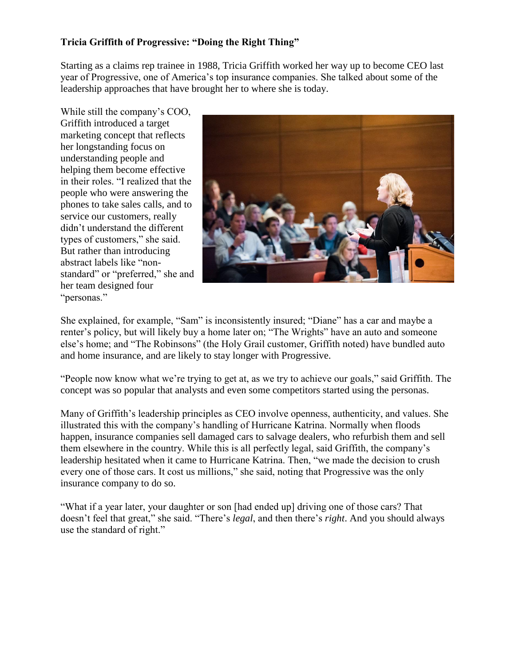## **Tricia Griffith of Progressive: "Doing the Right Thing"**

Starting as a claims rep trainee in 1988, Tricia Griffith worked her way up to become CEO last year of Progressive, one of America's top insurance companies. She talked about some of the leadership approaches that have brought her to where she is today.

While still the company's COO, Griffith introduced a target marketing concept that reflects her longstanding focus on understanding people and helping them become effective in their roles. "I realized that the people who were answering the phones to take sales calls, and to service our customers, really didn't understand the different types of customers," she said. But rather than introducing abstract labels like "nonstandard" or "preferred," she and her team designed four "personas."



She explained, for example, "Sam" is inconsistently insured; "Diane" has a car and maybe a renter's policy, but will likely buy a home later on; "The Wrights" have an auto and someone else's home; and "The Robinsons" (the Holy Grail customer, Griffith noted) have bundled auto and home insurance, and are likely to stay longer with Progressive.

"People now know what we're trying to get at, as we try to achieve our goals," said Griffith. The concept was so popular that analysts and even some competitors started using the personas.

Many of Griffith's leadership principles as CEO involve openness, authenticity, and values. She illustrated this with the company's handling of Hurricane Katrina. Normally when floods happen, insurance companies sell damaged cars to salvage dealers, who refurbish them and sell them elsewhere in the country. While this is all perfectly legal, said Griffith, the company's leadership hesitated when it came to Hurricane Katrina. Then, "we made the decision to crush every one of those cars. It cost us millions," she said, noting that Progressive was the only insurance company to do so.

"What if a year later, your daughter or son [had ended up] driving one of those cars? That doesn't feel that great," she said. "There's *legal*, and then there's *right*. And you should always use the standard of right."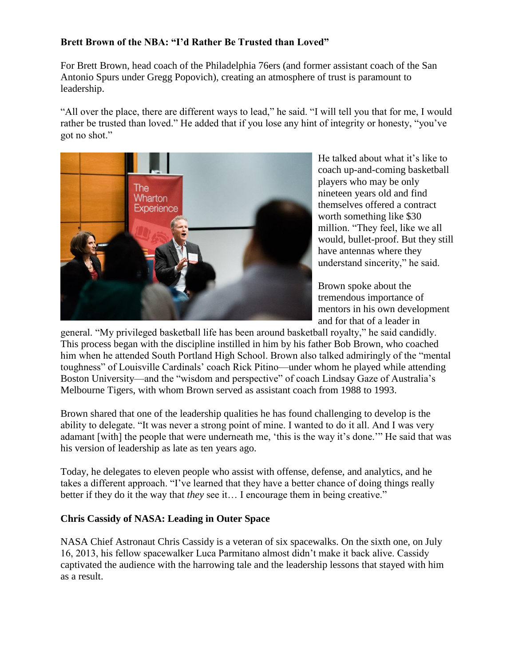## **Brett Brown of the NBA: "I'd Rather Be Trusted than Loved"**

For Brett Brown, head coach of the Philadelphia 76ers (and former assistant coach of the San Antonio Spurs under Gregg Popovich), creating an atmosphere of trust is paramount to leadership.

"All over the place, there are different ways to lead," he said. "I will tell you that for me, I would rather be trusted than loved." He added that if you lose any hint of integrity or honesty, "you've got no shot."



He talked about what it's like to coach up-and-coming basketball players who may be only nineteen years old and find themselves offered a contract worth something like \$30 million. "They feel, like we all would, bullet-proof. But they still have antennas where they understand sincerity," he said.

Brown spoke about the tremendous importance of mentors in his own development and for that of a leader in

general. "My privileged basketball life has been around basketball royalty," he said candidly. This process began with the discipline instilled in him by his father Bob Brown, who coached him when he attended South Portland High School. Brown also talked admiringly of the "mental toughness" of Louisville Cardinals' coach Rick Pitino—under whom he played while attending Boston University—and the "wisdom and perspective" of coach Lindsay Gaze of Australia's Melbourne Tigers, with whom Brown served as assistant coach from 1988 to 1993.

Brown shared that one of the leadership qualities he has found challenging to develop is the ability to delegate. "It was never a strong point of mine. I wanted to do it all. And I was very adamant [with] the people that were underneath me, 'this is the way it's done.'" He said that was his version of leadership as late as ten years ago.

Today, he delegates to eleven people who assist with offense, defense, and analytics, and he takes a different approach. "I've learned that they have a better chance of doing things really better if they do it the way that *they* see it… I encourage them in being creative."

#### **Chris Cassidy of NASA: Leading in Outer Space**

NASA Chief Astronaut Chris Cassidy is a veteran of six spacewalks. On the sixth one, on July 16, 2013, his fellow spacewalker Luca Parmitano almost didn't make it back alive. Cassidy captivated the audience with the harrowing tale and the leadership lessons that stayed with him as a result.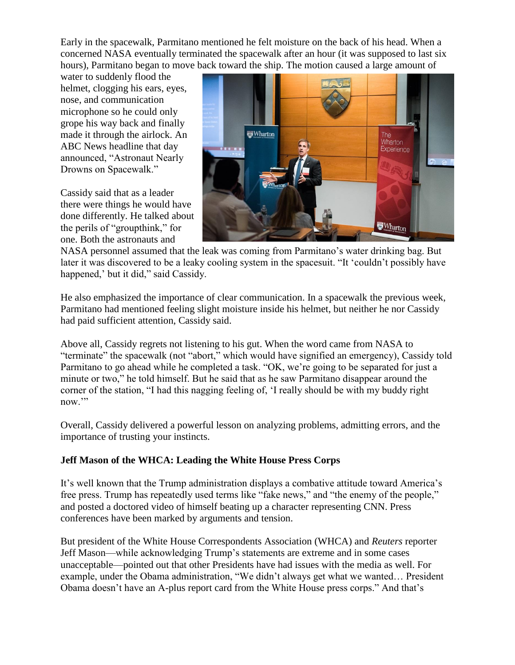Early in the spacewalk, Parmitano mentioned he felt moisture on the back of his head. When a concerned NASA eventually terminated the spacewalk after an hour (it was supposed to last six hours), Parmitano began to move back toward the ship. The motion caused a large amount of

water to suddenly flood the helmet, clogging his ears, eyes, nose, and communication microphone so he could only grope his way back and finally made it through the airlock. An ABC News headline that day announced, "Astronaut Nearly Drowns on Spacewalk."

Cassidy said that as a leader there were things he would have done differently. He talked about the perils of "groupthink," for one. Both the astronauts and



NASA personnel assumed that the leak was coming from Parmitano's water drinking bag. But later it was discovered to be a leaky cooling system in the spacesuit. "It 'couldn't possibly have happened,' but it did," said Cassidy.

He also emphasized the importance of clear communication. In a spacewalk the previous week, Parmitano had mentioned feeling slight moisture inside his helmet, but neither he nor Cassidy had paid sufficient attention, Cassidy said.

Above all, Cassidy regrets not listening to his gut. When the word came from NASA to "terminate" the spacewalk (not "abort," which would have signified an emergency), Cassidy told Parmitano to go ahead while he completed a task. "OK, we're going to be separated for just a minute or two," he told himself. But he said that as he saw Parmitano disappear around the corner of the station, "I had this nagging feeling of, 'I really should be with my buddy right now."

Overall, Cassidy delivered a powerful lesson on analyzing problems, admitting errors, and the importance of trusting your instincts.

#### **Jeff Mason of the WHCA: Leading the White House Press Corps**

It's well known that the Trump administration displays a combative attitude toward America's free press. Trump has repeatedly used terms like "fake news," and "the enemy of the people," and posted a doctored video of himself beating up a character representing CNN. Press conferences have been marked by arguments and tension.

But president of the White House Correspondents Association (WHCA) and *Reuters* reporter Jeff Mason—while acknowledging Trump's statements are extreme and in some cases unacceptable—pointed out that other Presidents have had issues with the media as well. For example, under the Obama administration, "We didn't always get what we wanted… President Obama doesn't have an A-plus report card from the White House press corps." And that's